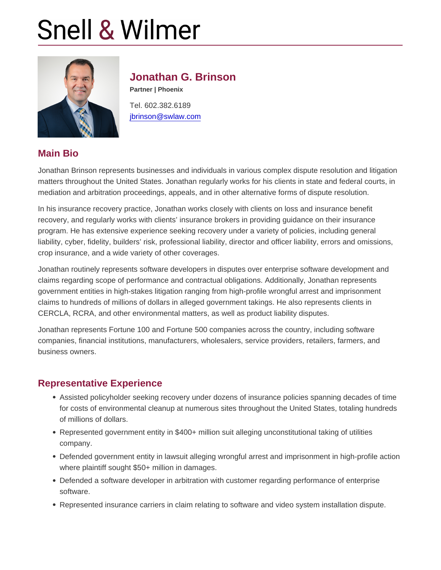## Jonathan G. Brinson

Partner | Phoenix Tel. 602.382.6189 [jbrinson@swlaw.com](mailto:jbrinson@swlaw.com)

## Main Bio

Jonathan Brinson represents businesses and individuals in various complex dispute resolution and litigation matters throughout the United States. Jonathan regularly works for his clients in state and federal courts, in mediation and arbitration proceedings, appeals, and in other alternative forms of dispute resolution.

In his insurance recovery practice, Jonathan works closely with clients on loss and insurance benefit recovery, and regularly works with clients' insurance brokers in providing guidance on their insurance program. He has extensive experience seeking recovery under a variety of policies, including general liability, cyber, fidelity, builders' risk, professional liability, director and officer liability, errors and omissions, crop insurance, and a wide variety of other coverages.

Jonathan routinely represents software developers in disputes over enterprise software development and claims regarding scope of performance and contractual obligations. Additionally, Jonathan represents government entities in high-stakes litigation ranging from high-profile wrongful arrest and imprisonment claims to hundreds of millions of dollars in alleged government takings. He also represents clients in CERCLA, RCRA, and other environmental matters, as well as product liability disputes.

Jonathan represents Fortune 100 and Fortune 500 companies across the country, including software companies, financial institutions, manufacturers, wholesalers, service providers, retailers, farmers, and business owners.

#### Representative Experience

- Assisted policyholder seeking recovery under dozens of insurance policies spanning decades of time for costs of environmental cleanup at numerous sites throughout the United States, totaling hundreds of millions of dollars.
- Represented government entity in \$400+ million suit alleging unconstitutional taking of utilities company.
- Defended government entity in lawsuit alleging wrongful arrest and imprisonment in high-profile action where plaintiff sought \$50+ million in damages.
- Defended a software developer in arbitration with customer regarding performance of enterprise software.
- Represented insurance carriers in claim relating to software and video system installation dispute.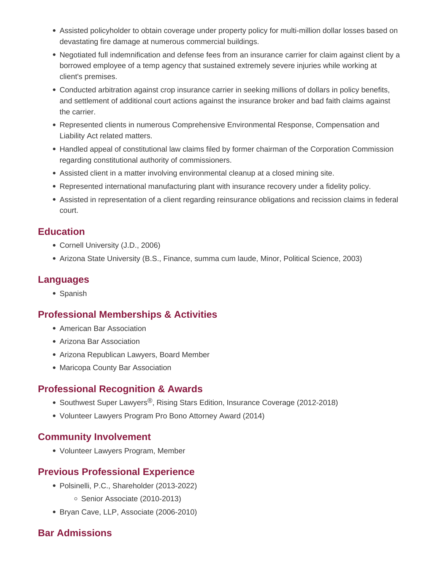- Assisted policyholder to obtain coverage under property policy for multi-million dollar losses based on devastating fire damage at numerous commercial buildings.
- Negotiated full indemnification and defense fees from an insurance carrier for claim against client by a borrowed employee of a temp agency that sustained extremely severe injuries while working at client's premises.
- Conducted arbitration against crop insurance carrier in seeking millions of dollars in policy benefits, and settlement of additional court actions against the insurance broker and bad faith claims against the carrier.
- Represented clients in numerous Comprehensive Environmental Response, Compensation and Liability Act related matters.
- Handled appeal of constitutional law claims filed by former chairman of the Corporation Commission regarding constitutional authority of commissioners.
- Assisted client in a matter involving environmental cleanup at a closed mining site.
- Represented international manufacturing plant with insurance recovery under a fidelity policy.
- Assisted in representation of a client regarding reinsurance obligations and recission claims in federal court.

#### **Education**

- Cornell University (J.D., 2006)
- Arizona State University (B.S., Finance, summa cum laude, Minor, Political Science, 2003)

## **Languages**

• Spanish

#### **Professional Memberships & Activities**

- American Bar Association
- Arizona Bar Association
- Arizona Republican Lawyers, Board Member
- Maricopa County Bar Association

#### **Professional Recognition & Awards**

- Southwest Super Lawyers<sup>®</sup>, Rising Stars Edition, Insurance Coverage (2012-2018)
- Volunteer Lawyers Program Pro Bono Attorney Award (2014)

#### **Community Involvement**

Volunteer Lawyers Program, Member

# **Previous Professional Experience**

- Polsinelli, P.C., Shareholder (2013-2022) ○ Senior Associate (2010-2013)
- Bryan Cave, LLP, Associate (2006-2010)

# **Bar Admissions**